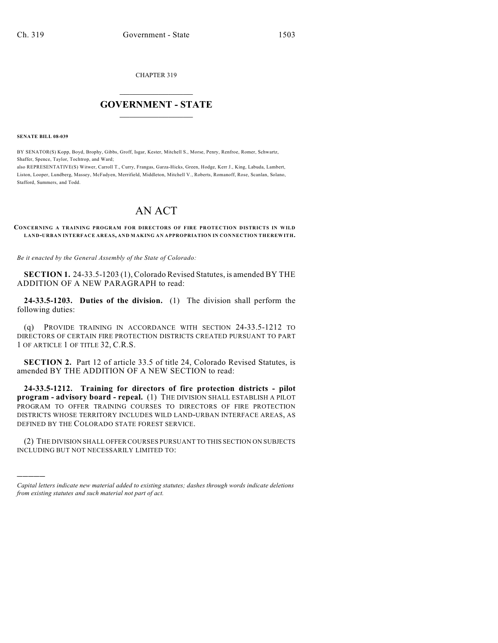CHAPTER 319

## $\mathcal{L}_\text{max}$  . The set of the set of the set of the set of the set of the set of the set of the set of the set of the set of the set of the set of the set of the set of the set of the set of the set of the set of the set **GOVERNMENT - STATE**  $\_$   $\_$   $\_$   $\_$   $\_$   $\_$   $\_$   $\_$

**SENATE BILL 08-039**

)))))

BY SENATOR(S) Kopp, Boyd, Brophy, Gibbs, Groff, Isgar, Kester, Mitchell S., Morse, Penry, Renfroe, Romer, Schwartz, Shaffer, Spence, Taylor, Tochtrop, and Ward;

also REPRESENTATIVE(S) Witwer, Carroll T., Curry, Frangas, Garza-Hicks, Green, Hodge, Kerr J., King, Labuda, Lambert, Liston, Looper, Lundberg, Massey, McFadyen, Merrifield, Middleton, Mitchell V., Roberts, Romanoff, Rose, Scanlan, Solano, Stafford, Summers, and Todd.

## AN ACT

**CONCERNING A TRAINING PROGRAM FOR DIRECTORS OF FIRE PROTECTION DISTRICTS IN WILD LAND-URBAN INTERFACE AREAS, AND M AKING AN APPROPRIATION IN CONNECTION THEREWITH.**

*Be it enacted by the General Assembly of the State of Colorado:*

**SECTION 1.** 24-33.5-1203 (1), Colorado Revised Statutes, is amended BY THE ADDITION OF A NEW PARAGRAPH to read:

**24-33.5-1203. Duties of the division.** (1) The division shall perform the following duties:

(q) PROVIDE TRAINING IN ACCORDANCE WITH SECTION 24-33.5-1212 TO DIRECTORS OF CERTAIN FIRE PROTECTION DISTRICTS CREATED PURSUANT TO PART 1 OF ARTICLE 1 OF TITLE 32, C.R.S.

**SECTION 2.** Part 12 of article 33.5 of title 24, Colorado Revised Statutes, is amended BY THE ADDITION OF A NEW SECTION to read:

**24-33.5-1212. Training for directors of fire protection districts - pilot program - advisory board - repeal.** (1) THE DIVISION SHALL ESTABLISH A PILOT PROGRAM TO OFFER TRAINING COURSES TO DIRECTORS OF FIRE PROTECTION DISTRICTS WHOSE TERRITORY INCLUDES WILD LAND-URBAN INTERFACE AREAS, AS DEFINED BY THE COLORADO STATE FOREST SERVICE.

(2) THE DIVISION SHALL OFFER COURSES PURSUANT TO THIS SECTION ON SUBJECTS INCLUDING BUT NOT NECESSARILY LIMITED TO:

*Capital letters indicate new material added to existing statutes; dashes through words indicate deletions from existing statutes and such material not part of act.*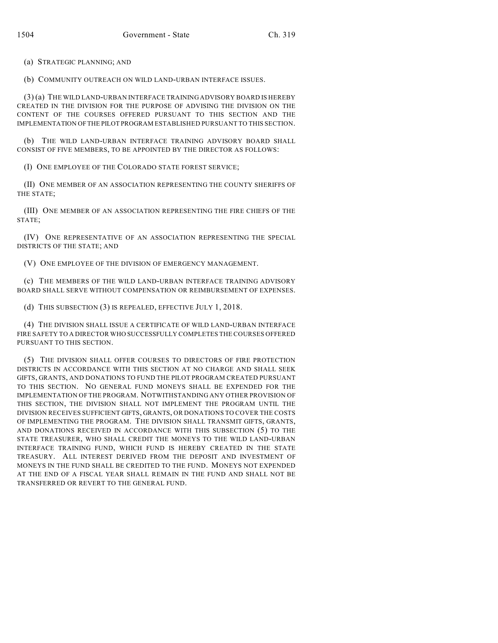(a) STRATEGIC PLANNING; AND

(b) COMMUNITY OUTREACH ON WILD LAND-URBAN INTERFACE ISSUES.

(3) (a) THE WILD LAND-URBAN INTERFACE TRAINING ADVISORY BOARD IS HEREBY CREATED IN THE DIVISION FOR THE PURPOSE OF ADVISING THE DIVISION ON THE CONTENT OF THE COURSES OFFERED PURSUANT TO THIS SECTION AND THE IMPLEMENTATION OF THE PILOT PROGRAM ESTABLISHED PURSUANT TO THIS SECTION.

(b) THE WILD LAND-URBAN INTERFACE TRAINING ADVISORY BOARD SHALL CONSIST OF FIVE MEMBERS, TO BE APPOINTED BY THE DIRECTOR AS FOLLOWS:

(I) ONE EMPLOYEE OF THE COLORADO STATE FOREST SERVICE;

(II) ONE MEMBER OF AN ASSOCIATION REPRESENTING THE COUNTY SHERIFFS OF THE STATE;

(III) ONE MEMBER OF AN ASSOCIATION REPRESENTING THE FIRE CHIEFS OF THE STATE;

(IV) ONE REPRESENTATIVE OF AN ASSOCIATION REPRESENTING THE SPECIAL DISTRICTS OF THE STATE; AND

(V) ONE EMPLOYEE OF THE DIVISION OF EMERGENCY MANAGEMENT.

(c) THE MEMBERS OF THE WILD LAND-URBAN INTERFACE TRAINING ADVISORY BOARD SHALL SERVE WITHOUT COMPENSATION OR REIMBURSEMENT OF EXPENSES.

(d) THIS SUBSECTION (3) IS REPEALED, EFFECTIVE JULY 1, 2018.

(4) THE DIVISION SHALL ISSUE A CERTIFICATE OF WILD LAND-URBAN INTERFACE FIRE SAFETY TO A DIRECTOR WHO SUCCESSFULLY COMPLETES THE COURSES OFFERED PURSUANT TO THIS SECTION.

(5) THE DIVISION SHALL OFFER COURSES TO DIRECTORS OF FIRE PROTECTION DISTRICTS IN ACCORDANCE WITH THIS SECTION AT NO CHARGE AND SHALL SEEK GIFTS, GRANTS, AND DONATIONS TO FUND THE PILOT PROGRAM CREATED PURSUANT TO THIS SECTION. NO GENERAL FUND MONEYS SHALL BE EXPENDED FOR THE IMPLEMENTATION OF THE PROGRAM. NOTWITHSTANDING ANY OTHER PROVISION OF THIS SECTION, THE DIVISION SHALL NOT IMPLEMENT THE PROGRAM UNTIL THE DIVISION RECEIVES SUFFICIENT GIFTS, GRANTS, OR DONATIONS TO COVER THE COSTS OF IMPLEMENTING THE PROGRAM. THE DIVISION SHALL TRANSMIT GIFTS, GRANTS, AND DONATIONS RECEIVED IN ACCORDANCE WITH THIS SUBSECTION (5) TO THE STATE TREASURER, WHO SHALL CREDIT THE MONEYS TO THE WILD LAND-URBAN INTERFACE TRAINING FUND, WHICH FUND IS HEREBY CREATED IN THE STATE TREASURY. ALL INTEREST DERIVED FROM THE DEPOSIT AND INVESTMENT OF MONEYS IN THE FUND SHALL BE CREDITED TO THE FUND. MONEYS NOT EXPENDED AT THE END OF A FISCAL YEAR SHALL REMAIN IN THE FUND AND SHALL NOT BE TRANSFERRED OR REVERT TO THE GENERAL FUND.